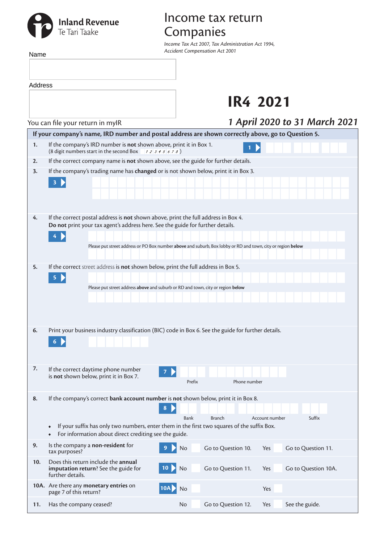## **Inland Revenue**<br>Te Tari Taake

Name

## Income tax return Companies

*Income Tax Act 2007, Tax Administration Act 1994, Accident Compensation Act 2001*

|     | Address                                                                                                                                                                                                                                                                                |                               |
|-----|----------------------------------------------------------------------------------------------------------------------------------------------------------------------------------------------------------------------------------------------------------------------------------------|-------------------------------|
|     | <b>IR4 2021</b>                                                                                                                                                                                                                                                                        |                               |
|     | You can file your return in mylR                                                                                                                                                                                                                                                       | 1 April 2020 to 31 March 2021 |
|     | If your company's name, IRD number and postal address are shown correctly above, go to Question 5.                                                                                                                                                                                     |                               |
| 1.  | If the company's IRD number is not shown above, print it in Box 1.<br>(8 digit numbers start in the second Box $\rightarrow$ 12345678)                                                                                                                                                 |                               |
| 2.  | If the correct company name is not shown above, see the guide for further details.                                                                                                                                                                                                     |                               |
| 3.  | If the company's trading name has changed or is not shown below, print it in Box 3.<br>3 <sup>7</sup>                                                                                                                                                                                  |                               |
| 4.  | If the correct postal address is not shown above, print the full address in Box 4.<br>Do not print your tax agent's address here. See the guide for further details.<br>Please put street address or PO Box number above and suburb, Box lobby or RD and town, city or region below    |                               |
| 5.  | If the correct street address is not shown below, print the full address in Box 5.<br>5<br>Please put street address above and suburb or RD and town, city or region below                                                                                                             |                               |
| 6.  | Print your business industry classification (BIC) code in Box 6. See the guide for further details.<br>6                                                                                                                                                                               |                               |
| 7.  | If the correct daytime phone number<br>is not shown below, print it in Box 7.<br>Phone number<br>Prefix                                                                                                                                                                                |                               |
| 8.  | If the company's correct bank account number is not shown below, print it in Box 8.<br>8<br>Bank<br><b>Branch</b><br>If your suffix has only two numbers, enter them in the first two squares of the suffix Box.<br>$\bullet$<br>For information about direct crediting see the guide. | Suffix<br>Account number      |
| 9.  | Is the company a non-resident for<br>Go to Question 10.<br>9<br><b>No</b><br>tax purposes?                                                                                                                                                                                             | Go to Question 11.<br>Yes     |
| 10. | Does this return include the annual<br>imputation return? See the guide for<br>$\mathsf{No}$<br>Go to Question 11.<br>10 <sup>°</sup><br>further details.                                                                                                                              | Go to Question 10A.<br>Yes    |
|     | 10A. Are there any monetary entries on<br>10A<br>No<br>page 7 of this return?                                                                                                                                                                                                          | Yes                           |
| 11. | Has the company ceased?<br>Go to Question 12.<br>No.                                                                                                                                                                                                                                   | See the guide.<br>Yes         |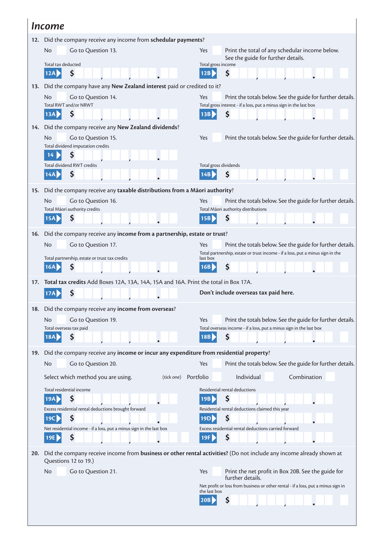|                                                                 | <i><u><b>Income</b></u></i>                                                                |                                                                                                                                                            |  |  |  |  |
|-----------------------------------------------------------------|--------------------------------------------------------------------------------------------|------------------------------------------------------------------------------------------------------------------------------------------------------------|--|--|--|--|
| 12. Did the company receive any income from schedular payments? |                                                                                            |                                                                                                                                                            |  |  |  |  |
|                                                                 | Go to Question 13.<br>No.                                                                  | Print the total of any schedular income below.<br><b>Yes</b>                                                                                               |  |  |  |  |
|                                                                 | Total tax deducted                                                                         | See the guide for further details.<br>Total gross income                                                                                                   |  |  |  |  |
|                                                                 | \$<br>12A                                                                                  | \$<br>12B                                                                                                                                                  |  |  |  |  |
| 13.                                                             | Did the company have any New Zealand interest paid or credited to it?                      |                                                                                                                                                            |  |  |  |  |
|                                                                 | N <sub>o</sub><br>Go to Question 14.                                                       | Print the totals below. See the guide for further details.<br>Yes                                                                                          |  |  |  |  |
|                                                                 | Total RWT and/or NRWT<br>13A<br>Ş                                                          | Total gross interest - if a loss, put a minus sign in the last box<br>13B<br>Ş                                                                             |  |  |  |  |
|                                                                 |                                                                                            |                                                                                                                                                            |  |  |  |  |
| 14.                                                             | Did the company receive any New Zealand dividends?<br>N <sub>o</sub><br>Go to Question 15. | <b>Yes</b>                                                                                                                                                 |  |  |  |  |
|                                                                 | Total dividend imputation credits                                                          | Print the totals below. See the guide for further details.                                                                                                 |  |  |  |  |
|                                                                 | \$<br>14                                                                                   |                                                                                                                                                            |  |  |  |  |
|                                                                 | <b>Total dividend RWT credits</b>                                                          | Total gross dividends                                                                                                                                      |  |  |  |  |
|                                                                 | \$<br>14A                                                                                  | \$<br>14B                                                                                                                                                  |  |  |  |  |
| 15.                                                             | Did the company receive any taxable distributions from a Māori authority?                  |                                                                                                                                                            |  |  |  |  |
|                                                                 | N <sub>o</sub><br>Go to Question 16.                                                       | Yes<br>Print the totals below. See the guide for further details.                                                                                          |  |  |  |  |
|                                                                 | Total Māori authority credits<br>\$<br> 15A                                                | Total Māori authority distributions<br>\$<br>15B                                                                                                           |  |  |  |  |
|                                                                 |                                                                                            |                                                                                                                                                            |  |  |  |  |
| 16.                                                             | Did the company receive any income from a partnership, estate or trust?                    |                                                                                                                                                            |  |  |  |  |
|                                                                 | N <sub>o</sub><br>Go to Question 17.                                                       | Print the totals below. See the guide for further details.<br><b>Yes</b><br>Total partnership, estate or trust income - if a loss, put a minus sign in the |  |  |  |  |
|                                                                 | Total partnership, estate or trust tax credits<br>\$<br>16A                                | last box<br>\$<br>16B                                                                                                                                      |  |  |  |  |
|                                                                 |                                                                                            |                                                                                                                                                            |  |  |  |  |
| 17.                                                             | Total tax credits Add Boxes 12A, 13A, 14A, 15A and 16A. Print the total in Box 17A.        |                                                                                                                                                            |  |  |  |  |
|                                                                 |                                                                                            | Don't include overseas tax paid here.                                                                                                                      |  |  |  |  |
|                                                                 | 18. Did the company receive any income from overseas?                                      |                                                                                                                                                            |  |  |  |  |
|                                                                 | Go to Question 19.<br>N <sub>o</sub>                                                       | Yes<br>Print the totals below. See the guide for further details.                                                                                          |  |  |  |  |
|                                                                 | Total overseas tax paid<br>\$<br>18A                                                       | Total overseas income - if a loss, put a minus sign in the last box<br>\$<br>18B                                                                           |  |  |  |  |
|                                                                 |                                                                                            |                                                                                                                                                            |  |  |  |  |
| 19.                                                             | Did the company receive any income or incur any expenditure from residential property?     |                                                                                                                                                            |  |  |  |  |
|                                                                 | Go to Question 20.<br><b>No</b>                                                            | Print the totals below. See the guide for further details.<br>Yes                                                                                          |  |  |  |  |
|                                                                 | Select which method you are using.<br>(tick one)                                           | Individual<br>Combination<br>Portfolio                                                                                                                     |  |  |  |  |
|                                                                 | Total residential income<br>\$<br>19A                                                      | Residential rental deductions<br>\$<br>19B                                                                                                                 |  |  |  |  |
|                                                                 | Excess residential rental deductions brought forward                                       | Residential rental deductions claimed this year                                                                                                            |  |  |  |  |
|                                                                 | \$<br>19C                                                                                  | \$<br>19D                                                                                                                                                  |  |  |  |  |
|                                                                 | Net residential income - if a loss, put a minus sign in the last box                       | Excess residential rental deductions carried forward                                                                                                       |  |  |  |  |
|                                                                 | \$<br>19E                                                                                  | \$<br>19F                                                                                                                                                  |  |  |  |  |
| 20.                                                             | Questions 12 to 19.)                                                                       | Did the company receive income from business or other rental activities? (Do not include any income already shown at                                       |  |  |  |  |
|                                                                 | <b>No</b><br>Go to Question 21.                                                            | Print the net profit in Box 20B. See the guide for<br>Yes<br>further details.                                                                              |  |  |  |  |
|                                                                 |                                                                                            | Net profit or loss from business or other rental - if a loss, put a minus sign in                                                                          |  |  |  |  |
|                                                                 |                                                                                            | the last box<br>\$<br><b>20B</b>                                                                                                                           |  |  |  |  |
|                                                                 |                                                                                            |                                                                                                                                                            |  |  |  |  |
|                                                                 |                                                                                            |                                                                                                                                                            |  |  |  |  |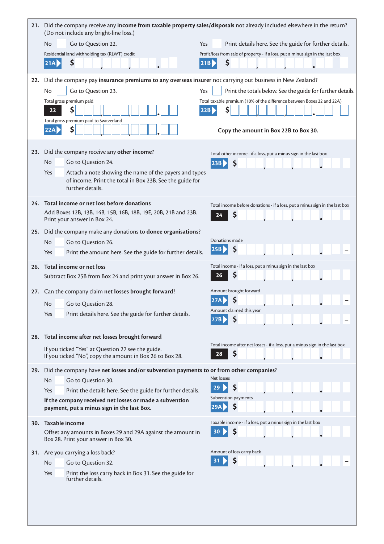|     | 21. Did the company receive any income from taxable property sales/disposals not already included elsewhere in the return?<br>(Do not include any bright-line loss.) |                                                                                         |
|-----|----------------------------------------------------------------------------------------------------------------------------------------------------------------------|-----------------------------------------------------------------------------------------|
|     | No<br>Go to Question 22.                                                                                                                                             | Print details here. See the guide for further details.<br>Yes                           |
|     | Residential land withholding tax (RLWT) credit                                                                                                                       | Profit/loss from sale of property - if a loss, put a minus sign in the last box         |
|     | \$<br> 21A                                                                                                                                                           | \$<br>21B                                                                               |
|     |                                                                                                                                                                      |                                                                                         |
| 22. | Did the company pay insurance premiums to any overseas insurer not carrying out business in New Zealand?                                                             |                                                                                         |
|     | Go to Question 23.<br>No                                                                                                                                             | Yes<br>Print the totals below. See the guide for further details.                       |
|     | Total gross premium paid<br>\$<br>22                                                                                                                                 | Total taxable premium (10% of the difference between Boxes 22 and 22A)<br>\$<br>22B     |
|     | Total gross premium paid to Switzerland                                                                                                                              |                                                                                         |
|     | \$<br>22A                                                                                                                                                            | Copy the amount in Box 22B to Box 30.                                                   |
|     |                                                                                                                                                                      |                                                                                         |
| 23. | Did the company receive any other income?                                                                                                                            | Total other income - if a loss, put a minus sign in the last box                        |
|     | Go to Question 24.<br>No                                                                                                                                             | \$<br>23B                                                                               |
|     | Yes<br>Attach a note showing the name of the payers and types                                                                                                        |                                                                                         |
|     | of income. Print the total in Box 23B. See the guide for<br>further details.                                                                                         |                                                                                         |
|     |                                                                                                                                                                      |                                                                                         |
| 24. | Total income or net loss before donations<br>Add Boxes 12B, 13B, 14B, 15B, 16B, 18B, 19E, 20B, 21B and 23B.                                                          | Total income before donations - if a loss, put a minus sign in the last box             |
|     | Print your answer in Box 24.                                                                                                                                         | \$<br>24                                                                                |
| 25. | Did the company make any donations to donee organisations?                                                                                                           |                                                                                         |
|     | <b>No</b><br>Go to Question 26.                                                                                                                                      | Donations made                                                                          |
|     | Print the amount here. See the guide for further details.<br>Yes                                                                                                     | \$<br>25B                                                                               |
| 26. | Total income or net loss                                                                                                                                             | Total income - if a loss, put a minus sign in the last box                              |
|     | Subtract Box 25B from Box 24 and print your answer in Box 26.                                                                                                        | Ş<br>26                                                                                 |
| 27. | Can the company claim net losses brought forward?                                                                                                                    | Amount brought forward                                                                  |
|     | No.<br>Go to Question 28.                                                                                                                                            | \$<br>27A                                                                               |
|     | Print details here. See the guide for further details.<br>Yes                                                                                                        | Amount claimed this year                                                                |
|     |                                                                                                                                                                      | 27B                                                                                     |
|     | 28. Total income after net losses brought forward                                                                                                                    |                                                                                         |
|     | If you ticked "Yes" at Question 27 see the guide.                                                                                                                    | Total income after net losses - if a loss, put a minus sign in the last box<br>\$<br>28 |
|     | If you ticked "No", copy the amount in Box 26 to Box 28.                                                                                                             |                                                                                         |
| 29. | Did the company have net losses and/or subvention payments to or from other companies?                                                                               |                                                                                         |
|     | No<br>Go to Question 30.                                                                                                                                             | Net losses<br>\$<br>29                                                                  |
|     | Print the details here. See the guide for further details.<br>Yes<br>If the company received net losses or made a subvention                                         | Subvention payments                                                                     |
|     | payment, put a minus sign in the last Box.                                                                                                                           | \$<br>29A                                                                               |
| 30. | Taxable income                                                                                                                                                       | Taxable income - if a loss, put a minus sign in the last box                            |
|     | Offset any amounts in Boxes 29 and 29A against the amount in                                                                                                         | \$<br>30                                                                                |
|     | Box 28. Print your answer in Box 30.                                                                                                                                 |                                                                                         |
| 31. | Are you carrying a loss back?                                                                                                                                        | Amount of loss carry back                                                               |
|     | No<br>Go to Question 32.                                                                                                                                             | S                                                                                       |
|     | Yes<br>Print the loss carry back in Box 31. See the guide for<br>further details.                                                                                    |                                                                                         |
|     |                                                                                                                                                                      |                                                                                         |
|     |                                                                                                                                                                      |                                                                                         |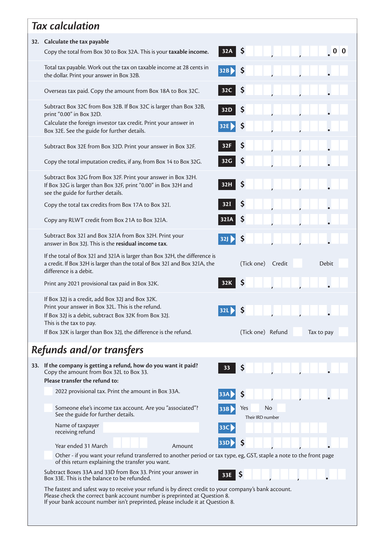|                                                                                                                                                                                                                                                                      | <b>Tax calculation</b>                                                                                                                                                                    |                                      |  |  |  |  |  |
|----------------------------------------------------------------------------------------------------------------------------------------------------------------------------------------------------------------------------------------------------------------------|-------------------------------------------------------------------------------------------------------------------------------------------------------------------------------------------|--------------------------------------|--|--|--|--|--|
| 32. Calculate the tax payable                                                                                                                                                                                                                                        |                                                                                                                                                                                           |                                      |  |  |  |  |  |
|                                                                                                                                                                                                                                                                      | Copy the total from Box 30 to Box 32A. This is your taxable income.                                                                                                                       | \$<br>0 <sub>0</sub><br>32A          |  |  |  |  |  |
|                                                                                                                                                                                                                                                                      | Total tax payable. Work out the tax on taxable income at 28 cents in<br>the dollar. Print your answer in Box 32B.                                                                         | \$<br>32B                            |  |  |  |  |  |
|                                                                                                                                                                                                                                                                      | Overseas tax paid. Copy the amount from Box 18A to Box 32C.                                                                                                                               | \$<br>32C                            |  |  |  |  |  |
|                                                                                                                                                                                                                                                                      | Subtract Box 32C from Box 32B. If Box 32C is larger than Box 32B,<br>print "0.00" in Box 32D.                                                                                             | Ş<br>32D                             |  |  |  |  |  |
|                                                                                                                                                                                                                                                                      | Calculate the foreign investor tax credit. Print your answer in<br>Box 32E. See the guide for further details.                                                                            | Ş<br>32E                             |  |  |  |  |  |
|                                                                                                                                                                                                                                                                      | Subtract Box 32E from Box 32D. Print your answer in Box 32F.                                                                                                                              | \$<br>32F                            |  |  |  |  |  |
|                                                                                                                                                                                                                                                                      | Copy the total imputation credits, if any, from Box 14 to Box 32G.                                                                                                                        | \$<br>32G                            |  |  |  |  |  |
|                                                                                                                                                                                                                                                                      | Subtract Box 32G from Box 32F. Print your answer in Box 32H.<br>If Box 32G is larger than Box 32F, print "0.00" in Box 32H and<br>see the guide for further details.                      | \$<br>32H                            |  |  |  |  |  |
|                                                                                                                                                                                                                                                                      | Copy the total tax credits from Box 17A to Box 32I.                                                                                                                                       | \$<br>32I                            |  |  |  |  |  |
|                                                                                                                                                                                                                                                                      | Copy any RLWT credit from Box 21A to Box 32IA.                                                                                                                                            | \$<br>32IA                           |  |  |  |  |  |
|                                                                                                                                                                                                                                                                      | Subtract Box 32I and Box 32IA from Box 32H. Print your<br>answer in Box 32J. This is the residual income tax.                                                                             | Ş<br>32J                             |  |  |  |  |  |
|                                                                                                                                                                                                                                                                      | If the total of Box 32I and 32IA is larger than Box 32H, the difference is<br>a credit. If Box 32H is larger than the total of Box 32I and Box 32IA, the<br>difference is a debit.        | Debit<br>Credit<br>(Tick one)        |  |  |  |  |  |
|                                                                                                                                                                                                                                                                      | Print any 2021 provisional tax paid in Box 32K.                                                                                                                                           | 32K                                  |  |  |  |  |  |
|                                                                                                                                                                                                                                                                      | If Box 32J is a credit, add Box 32J and Box 32K.<br>Print your answer in Box 32L. This is the refund.<br>If Box 32J is a debit, subtract Box 32K from Box 32J.<br>This is the tax to pay. | 32L                                  |  |  |  |  |  |
|                                                                                                                                                                                                                                                                      | If Box 32K is larger than Box 32J, the difference is the refund.                                                                                                                          | (Tick one) Refund<br>Tax to pay      |  |  |  |  |  |
|                                                                                                                                                                                                                                                                      | Refunds and/or transfers                                                                                                                                                                  |                                      |  |  |  |  |  |
|                                                                                                                                                                                                                                                                      | 33. If the company is getting a refund, how do you want it paid?<br>Copy the amount from Box 32L to Box 33.<br>Please transfer the refund to:                                             | \$<br>33                             |  |  |  |  |  |
|                                                                                                                                                                                                                                                                      | 2022 provisional tax. Print the amount in Box 33A.                                                                                                                                        | \$                                   |  |  |  |  |  |
|                                                                                                                                                                                                                                                                      | Someone else's income tax account. Are you "associated"?<br>See the guide for further details.                                                                                            | No<br>Yes<br>33B<br>Their IRD number |  |  |  |  |  |
|                                                                                                                                                                                                                                                                      | Name of taxpayer<br>receiving refund                                                                                                                                                      | 33C                                  |  |  |  |  |  |
|                                                                                                                                                                                                                                                                      | Year ended 31 March<br>Amount                                                                                                                                                             | Ş<br><b>33D</b>                      |  |  |  |  |  |
|                                                                                                                                                                                                                                                                      | Other - if you want your refund transferred to another period or tax type, eg, GST, staple a note to the front page<br>of this return explaining the transfer you want.                   |                                      |  |  |  |  |  |
|                                                                                                                                                                                                                                                                      | Subtract Boxes 33A and 33D from Box 33. Print your answer in<br>Box 33E. This is the balance to be refunded.                                                                              | Ş<br>33E                             |  |  |  |  |  |
| The fastest and safest way to receive your refund is by direct credit to your company's bank account.<br>Please check the correct bank account number is preprinted at Question 8.<br>If your bank account number isn't preprinted, please include it at Question 8. |                                                                                                                                                                                           |                                      |  |  |  |  |  |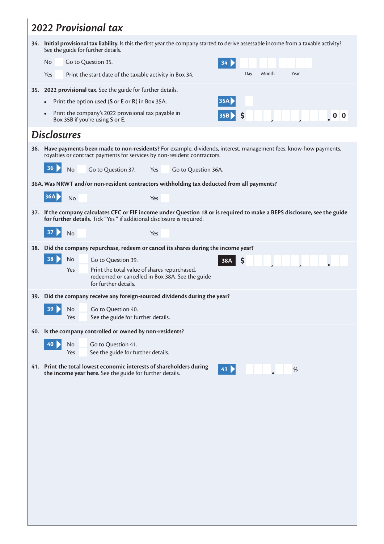|                                                                 | <b>2022 Provisional tax</b>                                                                                                                                                                     |  |  |  |  |  |  |  |
|-----------------------------------------------------------------|-------------------------------------------------------------------------------------------------------------------------------------------------------------------------------------------------|--|--|--|--|--|--|--|
|                                                                 | 34. Initial provisional tax liability. Is this the first year the company started to derive assessable income from a taxable activity?<br>See the guide for further details.                    |  |  |  |  |  |  |  |
|                                                                 | Go to Question 35.<br>No<br>34                                                                                                                                                                  |  |  |  |  |  |  |  |
|                                                                 | Month<br>Year<br>Day<br>Yes<br>Print the start date of the taxable activity in Box 34.                                                                                                          |  |  |  |  |  |  |  |
| 2022 provisional tax. See the guide for further details.<br>35. |                                                                                                                                                                                                 |  |  |  |  |  |  |  |
|                                                                 | 35A<br>Print the option used (S or E or R) in Box 35A.                                                                                                                                          |  |  |  |  |  |  |  |
|                                                                 | Print the company's 2022 provisional tax payable in<br>35B<br>Ş<br>Box 35B if you're using S or E.                                                                                              |  |  |  |  |  |  |  |
|                                                                 | <b>Disclosures</b>                                                                                                                                                                              |  |  |  |  |  |  |  |
|                                                                 | 36. Have payments been made to non-residents? For example, dividends, interest, management fees, know-how payments,<br>royalties or contract payments for services by non-resident contractors. |  |  |  |  |  |  |  |
|                                                                 | 36<br>No<br>Go to Question 37.<br>Yes<br>Go to Question 36A.                                                                                                                                    |  |  |  |  |  |  |  |
|                                                                 | 36A. Was NRWT and/or non-resident contractors withholding tax deducted from all payments?                                                                                                       |  |  |  |  |  |  |  |
|                                                                 | <b>36A</b><br>No<br>Yes                                                                                                                                                                         |  |  |  |  |  |  |  |
| 37.                                                             | If the company calculates CFC or FIF income under Question 18 or is required to make a BEPS disclosure, see the guide<br>for further details. Tick "Yes " if additional disclosure is required. |  |  |  |  |  |  |  |
|                                                                 | 37<br>No<br>Yes                                                                                                                                                                                 |  |  |  |  |  |  |  |
| <b>38.</b>                                                      | Did the company repurchase, redeem or cancel its shares during the income year?                                                                                                                 |  |  |  |  |  |  |  |
|                                                                 | 38<br>No<br>Go to Question 39.<br>\$<br>38A                                                                                                                                                     |  |  |  |  |  |  |  |
|                                                                 | Print the total value of shares repurchased,<br>Yes<br>redeemed or cancelled in Box 38A. See the guide<br>for further details.                                                                  |  |  |  |  |  |  |  |
|                                                                 | 39. Did the company receive any foreign-sourced dividends during the year?                                                                                                                      |  |  |  |  |  |  |  |
|                                                                 | 39<br>Go to Question 40.<br>No<br>Yes<br>See the guide for further details.                                                                                                                     |  |  |  |  |  |  |  |
|                                                                 | 40. Is the company controlled or owned by non-residents?                                                                                                                                        |  |  |  |  |  |  |  |
|                                                                 | 40<br>No<br>Go to Question 41.<br>See the guide for further details.<br>Yes                                                                                                                     |  |  |  |  |  |  |  |
|                                                                 | 41. Print the total lowest economic interests of shareholders during                                                                                                                            |  |  |  |  |  |  |  |
|                                                                 | 41<br>$\%$<br>the income year here. See the guide for further details.                                                                                                                          |  |  |  |  |  |  |  |
|                                                                 |                                                                                                                                                                                                 |  |  |  |  |  |  |  |
|                                                                 |                                                                                                                                                                                                 |  |  |  |  |  |  |  |
|                                                                 |                                                                                                                                                                                                 |  |  |  |  |  |  |  |
|                                                                 |                                                                                                                                                                                                 |  |  |  |  |  |  |  |
|                                                                 |                                                                                                                                                                                                 |  |  |  |  |  |  |  |
|                                                                 |                                                                                                                                                                                                 |  |  |  |  |  |  |  |
|                                                                 |                                                                                                                                                                                                 |  |  |  |  |  |  |  |
|                                                                 |                                                                                                                                                                                                 |  |  |  |  |  |  |  |
|                                                                 |                                                                                                                                                                                                 |  |  |  |  |  |  |  |
|                                                                 |                                                                                                                                                                                                 |  |  |  |  |  |  |  |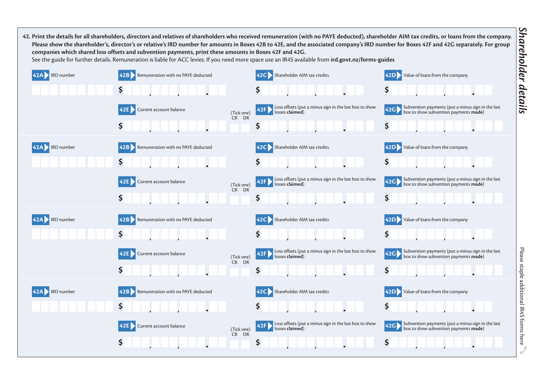**Please show the shareholder's, director's or relative's IRD number for amounts in Boxes 42B to 42E, and the associated company's IRD number for Boxes 42F and 42G separately. For group companies which shared loss offsets and subvention payments, print these amounts in Boxes 42F and 42G.**  See the guide for further details. Remuneration is liable for ACC levies. If you need more space use an IR4S available from **ird.govt.nz/forms-guides 42A** IRD number **42B** Remuneration with no PAYE deducted **42C** Shareholder AIM tax credits **42D** Value of loans from the company **\$ \$ \$ 42E** Current account balance (Tick one) CR DR **42F** Loss offsets (put a minus sign in the last box to show **42G** Subvention payments (put a minus sign in the last losses claimed) box to show subvention payments **made**) **\$ \$ \$ 42A** IRD number **42B** Remuneration with no PAYE deducted **42C** Shareholder AIM tax credits **42D** Value of loans from the company **\$ \$ \$ 42E** Current account balance (Tick one) CR DR **42F** Loss offsets (put a minus sign in the last box to show **42G** Subvention payments (put a minus sign in the last losses claimed) box to show subvention payments **made**) **\$ \$ \$ 42A** IRD number **42B** Remuneration with no PAYE deducted **42C** Shareholder AIM tax credits **42D** Value of loans from the company **\$ \$ \$ 42E** Current account balance (Tick one) CR DR **42F** Loss offsets (put a minus sign in the last box to show **42G** Subvention payments (put a minus sign in the last losses claimed) box to show subvention payments **made**) **\$ \$ \$ 42A** IRD number **42B** Remuneration with no PAYE deducted **42C** Shareholder AIM tax credits **42D** Value of loans from the company **\$ \$ \$ 42E** Current account balance (Tick one) CR DR **42F** Loss offsets (put a minus sign in the last box to show **42G** Subvention payments (put a minus sign in the last losses claimed) box to show subvention payments **made**) **\$ \$ \$**

**42. Print the details for all shareholders, directors and relatives of shareholders who received remuneration (with no PAYE deducted), shareholder AIM tax credits, or loans from the company.**